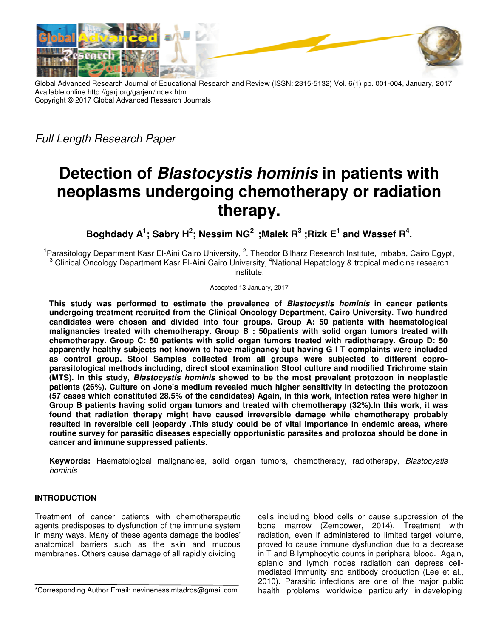

Global Advanced Research Journal of Educational Research and Review (ISSN: 2315-5132) Vol. 6(1) pp. 001-004, January, 2017 Available online http://garj.org/garjerr/index.htm Copyright © 2017 Global Advanced Research Journals Global Advanced

Full Length Research Paper

# **Detection of Blastocystis hominis in patients with in patients with neoplasms undergoing chemotherapy or radiation therapy.**

**Boghdady A<sup>1</sup> ; Sabry H 2 ; Nessim NG<sup>2</sup>;Malek R<sup>3</sup> ;Rizk E<sup>1</sup> and Wassef Wassef R<sup>4</sup> .** 

<sup>1</sup>Parasitology Department Kasr El-Aini Cairo University, <sup>2</sup>. Theodor Bilharz Research Institute, Imbaba, Cairo Egypt, <sup>3</sup>.Clinical Oncology Department Kasr El-Aini Cairo University, <sup>4</sup>National Hepatology & tropical medicine research institute.

Accepted 13 January, 2017

This study was performed to estimate the prevalence of *Blastocystis hominis* in cancer patients **undergoing treatment recruited from the Clinical Oncology Department, Cairo University. Two hundred Department, candidates were chosen and divided into four groups. Group A: 50 patients with haematological malignancies treated with chemotherapy. Group B : 50patients with solid organ tumors treated with**  candidates were chosen and divided into four groups. Group A: 50 patients with haematological<br>malignancies treated with chemotherapy. Group B : 50patients with solid organ tumors treated with<br>chemotherapy. Group C: 50 pati malignancies treated with chemotherapy. Group B:50patients with solid organ tumors treated with<br>chemotherapy. Group C: 50 patients with solid organ tumors treated with radiotherapy. Group D: 50<br>apparently healthy subjects **as control group. Stool Samples collected from all groups were subjected to different copro copro**as control group. Stool Samples collected from all groups were subjected to different copro-<br>parasitological methods including, direct stool examination Stool culture and modified Trichrome stain **(MTS). In this study, Blastocystis hominis Blastocystis showed to be the most prevalent protozoon prevalent protozoon in neoplastic patients (26%). Culture on Jone's medium revealed much higher sensitivity in detecting the protozoon (57 cases which constituted 28.5% of the candidates) Again, in this work, infection rates were higher in Group B patients having solid organ tumors and treated with chemotherapy (32%).In this work, it was found that radiation therapy might have caused irreversible damage wh ile chemotherapy resulted in reversible cell jeopardy .This study could be of vital importance in endemic areas, where routine survey for parasitic diseases especially opportunistic parasites and protozoa should be done in cancer and immune suppressed patients. s** (26%). Culture on Jone's medium revealed much higher sensitivity in detecting the protozoon es which constituted 28.5% of the candidates) Again, in this work, infection rates were higher in B patients having solid orga ersible cell jeopardy .This study could be of vital importance in endemic ar<br>for parasitic diseases especially opportunistic parasites and protozoa should<br>nune suppressed patients.

**Keywords:** Haematological malignancies, solid organ tumors, chemotherapy, radiotherapy, Blastocystis hominis

## **INTRODUCTION**

Treatment of cancer patients with chemotherapeutic agents predisposes to dysfunction of the immune system in many ways. Many of these agents damage the bodies' anatomical barriers such as the skin and mucous membranes. Others cause damage of all rapidly di **SS:** Haematological malignancies, solid c<br> **Hamatological and interpret in the interpret of cancer** patients with chemotherapeutic<br>
sposes to dysfunction of the immune system<br>
s. Many of these agents damage the bodies<br>
ba

\*Corresponding Author Email: nevinenessimtadros@gmail.com

cells including blood cells or cause suppression of the bone marrow (Zembower, 2014 , 2014). Treatment with radiation, even if administered to limited target volume, proved to cause immune dysfunction due to a decrease in T and B lymphocytic counts in peripheral blood. Again, splenic and lymph nodes radiation can depress cell mediated immunity and antibody production (Lee et al., 2010). Parasitic infections are one of the major public health problems worldwide particularly in developing proved to cause immune dysfunction due to a decrease<br>in T and B lymphocytic counts in peripheral blood. Again,<br>splenic and lymph nodes radiation can depress cellmediated immunity and antibody production (Lee et al.,<br>2010). Parasitic infections are one of the major public<br>health problems worldwide particularly indeveloping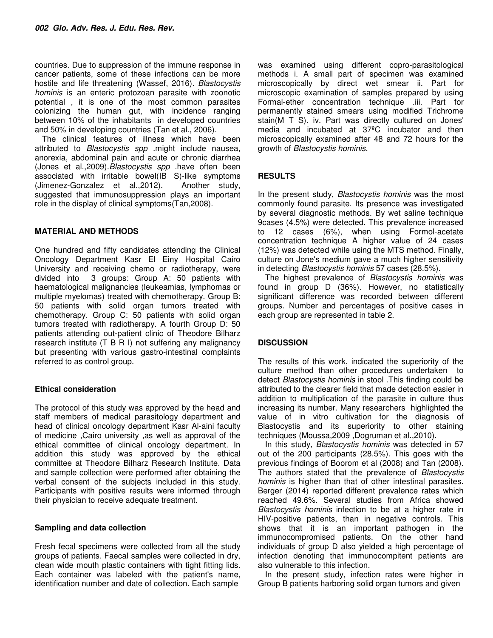countries. Due to suppression of the immune response in cancer patients, some of these infections can be more hostile and life threatening (Wassef, 2016). Blastocystis hominis is an enteric protozoan parasite with zoonotic potential , it is one of the most common parasites colonizing the human gut, with incidence ranging between 10% of the inhabitants in developed countries and 50% in developing countries (Tan et al., 2006).

The clinical features of illness which have been attributed to Blastocystis spp .might include nausea, anorexia, abdominal pain and acute or chronic diarrhea (Jones et al.,2009).Blastocystis spp .have often been associated with irritable bowel(IB S)-like symptoms (Jimenez-Gonzalez et al., 2012). suggested that immunosuppression plays an important role in the display of clinical symptoms(Tan,2008).

## **MATERIAL AND METHODS**

One hundred and fifty candidates attending the Clinical Oncology Department Kasr El Einy Hospital Cairo University and receiving chemo or radiotherapy, were divided into 3 groups: Group A: 50 patients with haematological malignancies (leukeamias, lymphomas or multiple myelomas) treated with chemotherapy. Group B: 50 patients with solid organ tumors treated with chemotherapy. Group C: 50 patients with solid organ tumors treated with radiotherapy. A fourth Group D: 50 patients attending out-patient clinic of Theodore Bilharz research institute (T B R I) not suffering any malignancy but presenting with various gastro-intestinal complaints referred to as control group.

### **Ethical consideration**

The protocol of this study was approved by the head and staff members of medical parasitology department and head of clinical oncology department Kasr Al-aini faculty of medicine ,Cairo university ,as well as approval of the ethical committee of clinical oncology department. In addition this study was approved by the ethical committee at Theodore Bilharz Research Institute. Data and sample collection were performed after obtaining the verbal consent of the subjects included in this study. Participants with positive results were informed through their physician to receive adequate treatment.

### **Sampling and data collection**

Fresh fecal specimens were collected from all the study groups of patients. Faecal samples were collected in dry, clean wide mouth plastic containers with tight fitting lids. Each container was labeled with the patient's name, identification number and date of collection. Each sample

was examined using different copro-parasitological methods i. A small part of specimen was examined microscopically by direct wet smear ii. Part for microscopic examination of samples prepared by using Formal-ether concentration technique .iii. Part for permanently stained smears using modified Trichrome stain(M T S). iv. Part was directly cultured on Jones' media and incubated at 37ºC incubator and then microscopically examined after 48 and 72 hours for the growth of Blastocystis hominis.

## **RESULTS**

In the present study, Blastocystis hominis was the most commonly found parasite. Its presence was investigated by several diagnostic methods. By wet saline technique 9cases (4.5%) were detected. This prevalence increased to 12 cases (6%), when using Formol-acetate concentration technique A higher value of 24 cases (12%) was detected while using the MTS method. Finally, culture on Jone's medium gave a much higher sensitivity in detecting Blastocystis hominis 57 cases (28.5%).

The highest prevalence of Blastocystis hominis was found in group D (36%). However, no statistically significant difference was recorded between different groups. Number and percentages of positive cases in each group are represented in table 2.

## **DISCUSSION**

The results of this work, indicated the superiority of the culture method than other procedures undertaken to detect Blastocystis hominis in stool .This finding could be attributed to the clearer field that made detection easier in addition to multiplication of the parasite in culture thus increasing its number. Many researchers highlighted the value of in vitro cultivation for the diagnosis of Blastocystis and its superiority to other staining techniques (Moussa,2009 ,Dogruman et al.,2010).

In this study, Blastocystis hominis was detected in 57 out of the 200 participants (28.5%). This goes with the previous findings of Boorom et al (2008) and Tan (2008). The authors stated that the prevalence of Blastocystis hominis is higher than that of other intestinal parasites. Berger (2014) reported different prevalence rates which reached 49.6%. Several studies from Africa showed Blastocystis hominis infection to be at a higher rate in HIV-positive patients, than in negative controls. This shows that it is an important pathogen in the immunocompromised patients. On the other hand individuals of group D also yielded a high percentage of infection denoting that immunocompitent patients are also vulnerable to this infection.

In the present study, infection rates were higher in Group B patients harboring solid organ tumors and given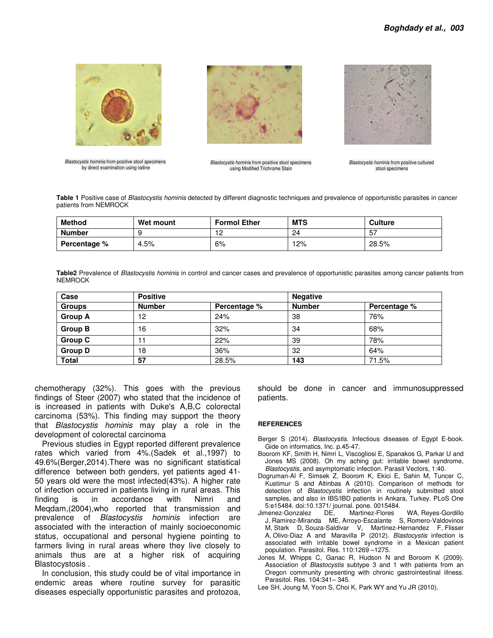

Blastocystis hominis from positive stool specimens by direct examination using iodine



Blastocystis hominis from positive stool specimens using Modified Trichrome Stain



Blastocystis hominis from positive cultured stool specimens

**Table 1** Positive case of Blastocystis hominis detected by different diagnostic techniques and prevalence of opportunistic parasites in cancer patients from NEMROCK

| <b>Method</b>       | Wet mount | <b>Formol Ether</b> | <b>MTS</b> | <b>Culture</b> |
|---------------------|-----------|---------------------|------------|----------------|
| <b>Number</b>       |           | $\cdot$             | 24         | -57            |
| <b>Percentage</b> % | 4.5%      | 6%                  | 12%        | 28.5%          |

**Table2** Prevalence of Blastocystis hominis in control and cancer cases and prevalence of opportunistic parasites among cancer patients from NEMROCK

| Case           | <b>Positive</b> |              | <b>Negative</b> |              |
|----------------|-----------------|--------------|-----------------|--------------|
| <b>Groups</b>  | <b>Number</b>   | Percentage % | <b>Number</b>   | Percentage % |
| <b>Group A</b> | 12              | 24%          | 38              | 76%          |
| <b>Group B</b> | 16              | 32%          | 34              | 68%          |
| <b>Group C</b> |                 | 22%          | 39              | 78%          |
| <b>Group D</b> | 18              | 36%          | 32              | 64%          |
| <b>Total</b>   | 57              | 28.5%        | 143             | 71.5%        |

chemotherapy (32%). This goes with the previous findings of Steer (2007) who stated that the incidence of is increased in patients with Duke's A,B,C colorectal carcinoma (53%). This finding may support the theory that Blastocystis hominis may play a role in the development of colorectal carcinoma

Previous studies in Egypt reported different prevalence rates which varied from 4%.(Sadek et al.,1997) to 49.6%(Berger,2014).There was no significant statistical difference between both genders, yet patients aged 41- 50 years old were the most infected(43%). A higher rate of infection occurred in patients living in rural areas. This finding is in accordance with Nimri and Meqdam,(2004),who reported that transmission and prevalence of Blastocystis hominis infection are associated with the interaction of mainly socioeconomic status, occupational and personal hygiene pointing to farmers living in rural areas where they live closely to animals thus are at a higher risk of acquiring Blastocystosis .

In conclusion, this study could be of vital importance in endemic areas where routine survey for parasitic diseases especially opportunistic parasites and protozoa, should be done in cancer and immunosuppressed patients.

#### **REFERENCES**

Berger S (2014). Blastocystis. Infectious diseases of Egypt E-book. Gide on informatics, Inc. p.45-47.

- Boorom KF, Smith H, Nimri L, Viscogliosi E, Spanakos G, Parkar U and Jones MS (2008). Oh my aching gut: irritable bowel syndrome, Blastocystis, and asymptomatic infection. Parasit Vectors, 1:40.
- Dogruman-Al F, Simsek Z, Boorom K, Ekici E, Sahin M, Tuncer C, Kustimur S and Altinbas A (2010). Comparison of methods for detection of Blastocystis infection in routinely submitted stool samples, and also in IBS/IBD patients in Ankara, Turkey. PLoS One 5:e15484. doi:10.1371/ journal. pone. 0015484.
- WA, Reyes-Gordillo J, Ramirez-Miranda ME, Arroyo-Escalante S, Romero-Valdovinos M, Stark D, Souza-Saldivar V, Martinez-Hernandez F, Flisser A, Olivo-Diaz A and Maravilla P (2012). Blastocystis infection is associated with irritable bowel syndrome in a Mexican patient population. Parasitol. Res. 110:1269 –1275.
- Jones M, Whipps C, Ganac R, Hudson N and Boroom K (2009). Association of Blastocystis subtype 3 and 1 with patients from an Oregon community presenting with chronic gastrointestinal illness. Parasitol. Res. 104:341– 345.
- Lee SH, Joung M, Yoon S, Choi K, Park WY and Yu JR (2010).